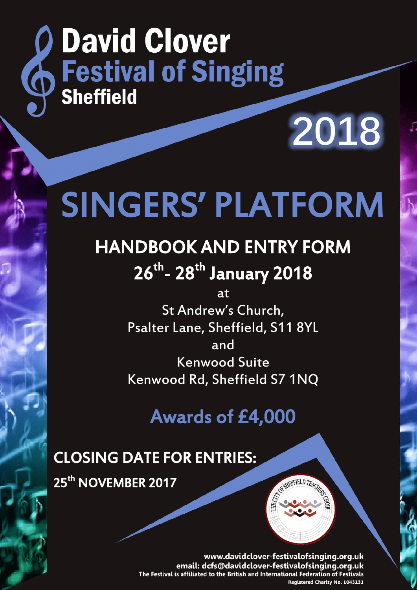# **Q David Clover<br>
Sestival of Singing David Clover Sheffield**

# SINGERS' PLATFORM

# HANDBOOK AND ENTRY FORM 26<sup>th</sup>- 28<sup>th</sup> January 2018

at St Andrew's Church, Psalter Lane, Sheffield, S11 8YL and Kenwood Suite Kenwood Rd, Sheffield S7 1NQ

Awards of £4,000

# CLOSING DATE FOR ENTRIES:

25<sup>th</sup> NOVEMBER 2017

**2018**

www.davidclover-festivalofsinging.org.uk email: dcfs@davidclover-festivalofsinging.org.uk The Festival is affiliated to the British and International Federation of Festivals Registered Charity No. 1043131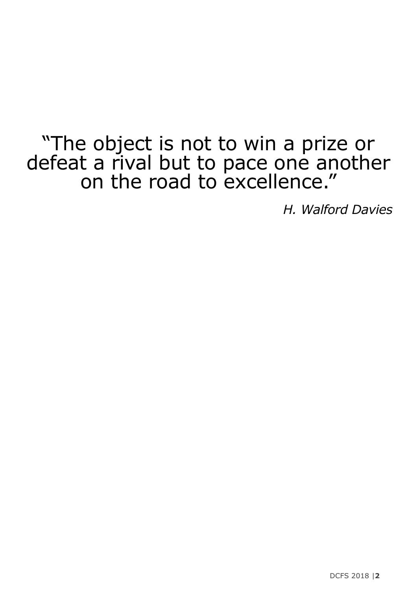# "The object is not to win a prize or defeat a rival but to pace one another on the road to excellence."

*H. Walford Davies*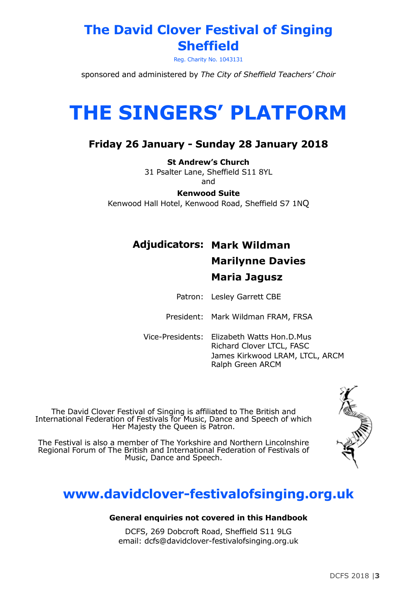# **The David Clover Festival of Singing Sheffield**

Reg. Charity No. 1043131

sponsored and administered by *The City of Sheffield Teachers' Choir*

# **THE SINGERS' PLATFORM**

#### **Friday 26 January - Sunday 28 January 2018**

**St Andrew's Church** 31 Psalter Lane, Sheffield S11 8YL and

**Kenwood Suite**

Kenwood Hall Hotel, Kenwood Road, Sheffield S7 1NQ

# **Adjudicators: Mark Wildman Marilynne Davies Maria Jagusz**

Patron: Lesley Garrett CBE

President: Mark Wildman FRAM, FRSA

Vice-Presidents: Elizabeth Watts Hon.D.Mus Richard Clover LTCL, FASC James Kirkwood LRAM, LTCL, ARCM Ralph Green ARCM

The David Clover Festival of Singing is affiliated to The British and International Federation of Festivals for Music, Dance and Speech of which Her Majesty the Queen is Patron.

The Festival is also a member of The Yorkshire and Northern Lincolnshire Regional Forum of The British and International Federation of Festivals of Music, Dance and Speech.

# **www.davidclover-festivalofsinging.org.uk**

#### **General enquiries not covered in this Handbook**

DCFS, 269 Dobcroft Road, Sheffield S11 9LG email: dcfs@davidclover-festivalofsinging.org.uk



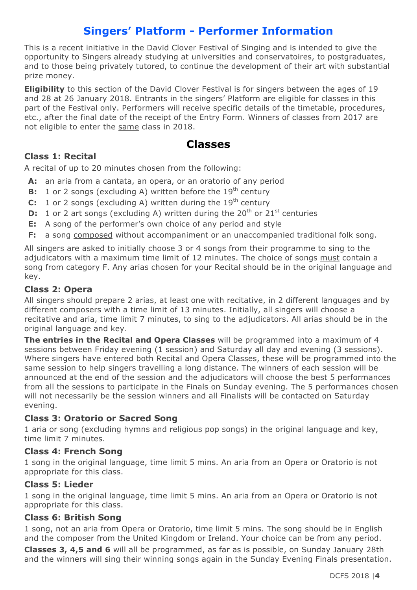### **Singers' Platform - Performer Information**

This is a recent initiative in the David Clover Festival of Singing and is intended to give the opportunity to Singers already studying at universities and conservatoires, to postgraduates, and to those being privately tutored, to continue the development of their art with substantial prize money.

**Eligibility** to this section of the David Clover Festival is for singers between the ages of 19 and 28 at 26 January 2018. Entrants in the singers' Platform are eligible for classes in this part of the Festival only. Performers will receive specific details of the timetable, procedures, etc., after the final date of the receipt of the Entry Form. Winners of classes from 2017 are not eligible to enter the same class in 2018.

#### **Classes**

#### **Class 1: Recital**

A recital of up to 20 minutes chosen from the following:

- **A:** an aria from a cantata, an opera, or an oratorio of any period
- **B:** 1 or 2 songs (excluding A) written before the 19<sup>th</sup> century
- **C:** 1 or 2 songs (excluding A) written during the  $19<sup>th</sup>$  century
- **D:** 1 or 2 art songs (excluding A) written during the 20<sup>th</sup> or 21<sup>st</sup> centuries
- **E:** A song of the performer's own choice of any period and style
- **F:** a song composed without accompaniment or an unaccompanied traditional folk song.

All singers are asked to initially choose 3 or 4 songs from their programme to sing to the adjudicators with a maximum time limit of 12 minutes. The choice of songs must contain a song from category F. Any arias chosen for your Recital should be in the original language and key.

#### **Class 2: Opera**

All singers should prepare 2 arias, at least one with recitative, in 2 different languages and by different composers with a time limit of 13 minutes. Initially, all singers will choose a recitative and aria, time limit 7 minutes, to sing to the adjudicators. All arias should be in the original language and key.

**The entries in the Recital and Opera Classes** will be programmed into a maximum of 4 sessions between Friday evening (1 session) and Saturday all day and evening (3 sessions). Where singers have entered both Recital and Opera Classes, these will be programmed into the same session to help singers travelling a long distance. The winners of each session will be announced at the end of the session and the adjudicators will choose the best 5 performances from all the sessions to participate in the Finals on Sunday evening. The 5 performances chosen will not necessarily be the session winners and all Finalists will be contacted on Saturday evening.

#### **Class 3: Oratorio or Sacred Song**

1 aria or song (excluding hymns and religious pop songs) in the original language and key, time limit 7 minutes.

#### **Class 4: French Song**

1 song in the original language, time limit 5 mins. An aria from an Opera or Oratorio is not appropriate for this class.

#### **Class 5: Lieder**

1 song in the original language, time limit 5 mins. An aria from an Opera or Oratorio is not appropriate for this class.

#### **Class 6: British Song**

1 song, not an aria from Opera or Oratorio, time limit 5 mins. The song should be in English and the composer from the United Kingdom or Ireland. Your choice can be from any period. **Classes 3, 4,5 and 6** will all be programmed, as far as is possible, on Sunday January 28th and the winners will sing their winning songs again in the Sunday Evening Finals presentation.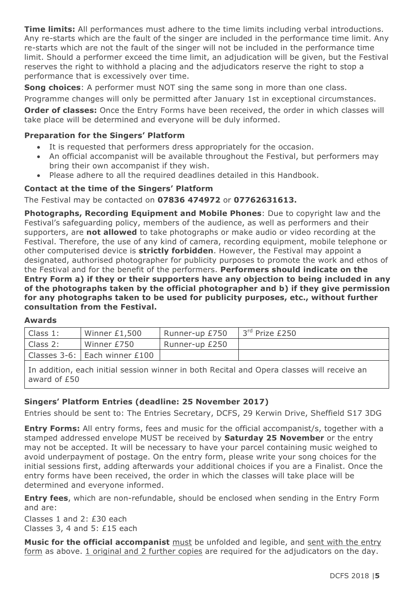**Time limits:** All performances must adhere to the time limits including verbal introductions. Any re-starts which are the fault of the singer are included in the performance time limit. Any re-starts which are not the fault of the singer will not be included in the performance time limit. Should a performer exceed the time limit, an adjudication will be given, but the Festival reserves the right to withhold a placing and the adjudicators reserve the right to stop a performance that is excessively over time.

**Song choices**: A performer must NOT sing the same song in more than one class.

Programme changes will only be permitted after January 1st in exceptional circumstances.

**Order of classes:** Once the Entry Forms have been received, the order in which classes will take place will be determined and everyone will be duly informed.

#### **Preparation for the Singers' Platform**

- It is requested that performers dress appropriately for the occasion.
- An official accompanist will be available throughout the Festival, but performers may bring their own accompanist if they wish.
- Please adhere to all the required deadlines detailed in this Handbook.

#### **Contact at the time of the Singers' Platform**

The Festival may be contacted on **07836 474972** or **07762631613.**

**Photographs, Recording Equipment and Mobile Phones**: Due to copyright law and the Festival's safeguarding policy, members of the audience, as well as performers and their supporters, are **not allowed** to take photographs or make audio or video recording at the Festival. Therefore, the use of any kind of camera, recording equipment, mobile telephone or other computerised device is **strictly forbidden**. However, the Festival may appoint a designated, authorised photographer for publicity purposes to promote the work and ethos of the Festival and for the benefit of the performers. **Performers should indicate on the Entry Form a) if they or their supporters have any objection to being included in any of the photographs taken by the official photographer and b) if they give permission for any photographs taken to be used for publicity purposes, etc., without further consultation from the Festival.**

#### **Awards**

| Class 1: | Winner $£1,500$               | Runner-up £750 | 3rd Prize £250 |
|----------|-------------------------------|----------------|----------------|
| Class 2: | Winner £750                   | Runner-up £250 |                |
|          | Classes 3-6: Each winner £100 |                |                |

In addition, each initial session winner in both Recital and Opera classes will receive an award of £50

#### **Singers' Platform Entries (deadline: 25 November 2017)**

Entries should be sent to: The Entries Secretary, DCFS, 29 Kerwin Drive, Sheffield S17 3DG

**Entry Forms:** All entry forms, fees and music for the official accompanist/s, together with a stamped addressed envelope MUST be received by **Saturday 25 November** or the entry may not be accepted. It will be necessary to have your parcel containing music weighed to avoid underpayment of postage. On the entry form, please write your song choices for the initial sessions first, adding afterwards your additional choices if you are a Finalist. Once the entry forms have been received, the order in which the classes will take place will be determined and everyone informed.

**Entry fees**, which are non-refundable, should be enclosed when sending in the Entry Form and are:

Classes 1 and 2: £30 each Classes 3, 4 and 5: £15 each

**Music for the official accompanist** must be unfolded and legible, and sent with the entry form as above. 1 original and 2 further copies are required for the adjudicators on the day.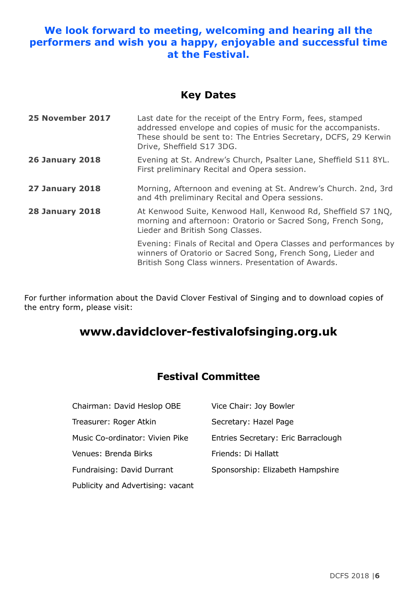#### **We look forward to meeting, welcoming and hearing all the performers and wish you a happy, enjoyable and successful time at the Festival.**

#### **Key Dates**

| 25 November 2017       | Last date for the receipt of the Entry Form, fees, stamped<br>addressed envelope and copies of music for the accompanists.<br>These should be sent to: The Entries Secretary, DCFS, 29 Kerwin<br>Drive, Sheffield S17 3DG. |
|------------------------|----------------------------------------------------------------------------------------------------------------------------------------------------------------------------------------------------------------------------|
| <b>26 January 2018</b> | Evening at St. Andrew's Church, Psalter Lane, Sheffield S11 8YL.<br>First preliminary Recital and Opera session.                                                                                                           |
| <b>27 January 2018</b> | Morning, Afternoon and evening at St. Andrew's Church. 2nd, 3rd<br>and 4th preliminary Recital and Opera sessions.                                                                                                         |
| <b>28 January 2018</b> | At Kenwood Suite, Kenwood Hall, Kenwood Rd, Sheffield S7 1NQ,<br>morning and afternoon: Oratorio or Sacred Song, French Song,<br>Lieder and British Song Classes.                                                          |
|                        | Evening: Finals of Recital and Opera Classes and performances by<br>winners of Oratorio or Sacred Song, French Song, Lieder and<br>British Song Class winners. Presentation of Awards.                                     |

For further information about the David Clover Festival of Singing and to download copies of the entry form, please visit:

# **www.davidclover-festivalofsinging.org.uk**

### **Festival Committee**

| Chairman: David Heslop OBE        | Vice Chair: Joy Bowler              |
|-----------------------------------|-------------------------------------|
| Treasurer: Roger Atkin            | Secretary: Hazel Page               |
| Music Co-ordinator: Vivien Pike   | Entries Secretary: Eric Barraclough |
| Venues: Brenda Birks              | Friends: Di Hallatt                 |
| Fundraising: David Durrant        | Sponsorship: Elizabeth Hampshire    |
| Publicity and Advertising: vacant |                                     |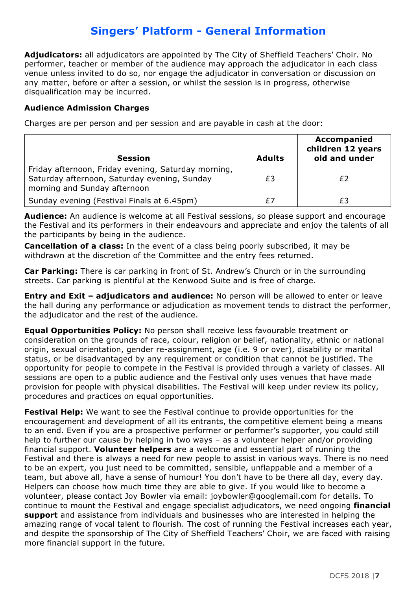# **Singers' Platform - General Information**

**Adjudicators:** all adjudicators are appointed by The City of Sheffield Teachers' Choir. No performer, teacher or member of the audience may approach the adjudicator in each class venue unless invited to do so, nor engage the adjudicator in conversation or discussion on any matter, before or after a session, or whilst the session is in progress, otherwise disqualification may be incurred.

#### **Audience Admission Charges**

Charges are per person and per session and are payable in cash at the door:

| <b>Session</b>                                                                                                                      | <b>Adults</b> | <b>Accompanied</b><br>children 12 years<br>old and under |
|-------------------------------------------------------------------------------------------------------------------------------------|---------------|----------------------------------------------------------|
| Friday afternoon, Friday evening, Saturday morning,<br>Saturday afternoon, Saturday evening, Sunday<br>morning and Sunday afternoon | £3            |                                                          |
| Sunday evening (Festival Finals at 6.45pm)                                                                                          | £7            |                                                          |

**Audience:** An audience is welcome at all Festival sessions, so please support and encourage the Festival and its performers in their endeavours and appreciate and enjoy the talents of all the participants by being in the audience.

**Cancellation of a class:** In the event of a class being poorly subscribed, it may be withdrawn at the discretion of the Committee and the entry fees returned.

**Car Parking:** There is car parking in front of St. Andrew's Church or in the surrounding streets. Car parking is plentiful at the Kenwood Suite and is free of charge.

**Entry and Exit – adjudicators and audience:** No person will be allowed to enter or leave the hall during any performance or adjudication as movement tends to distract the performer, the adjudicator and the rest of the audience.

**Equal Opportunities Policy:** No person shall receive less favourable treatment or consideration on the grounds of race, colour, religion or belief, nationality, ethnic or national origin, sexual orientation, gender re-assignment, age (i.e. 9 or over), disability or marital status, or be disadvantaged by any requirement or condition that cannot be justified. The opportunity for people to compete in the Festival is provided through a variety of classes. All sessions are open to a public audience and the Festival only uses venues that have made provision for people with physical disabilities. The Festival will keep under review its policy, procedures and practices on equal opportunities.

**Festival Help:** We want to see the Festival continue to provide opportunities for the encouragement and development of all its entrants, the competitive element being a means to an end. Even if you are a prospective performer or performer's supporter, you could still help to further our cause by helping in two ways – as a volunteer helper and/or providing financial support. **Volunteer helpers** are a welcome and essential part of running the Festival and there is always a need for new people to assist in various ways. There is no need to be an expert, you just need to be committed, sensible, unflappable and a member of a team, but above all, have a sense of humour! You don't have to be there all day, every day. Helpers can choose how much time they are able to give. If you would like to become a volunteer, please contact Joy Bowler via email: joybowler@googlemail.com for details. To continue to mount the Festival and engage specialist adjudicators, we need ongoing **financial support** and assistance from individuals and businesses who are interested in helping the amazing range of vocal talent to flourish. The cost of running the Festival increases each year, and despite the sponsorship of The City of Sheffield Teachers' Choir, we are faced with raising more financial support in the future.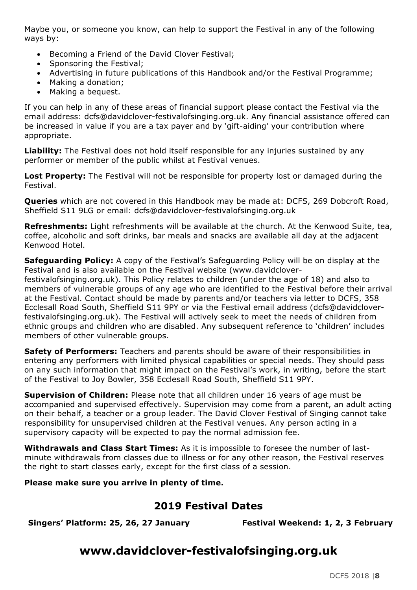Maybe you, or someone you know, can help to support the Festival in any of the following ways by:

- Becoming a Friend of the David Clover Festival;
- Sponsoring the Festival;
- Advertising in future publications of this Handbook and/or the Festival Programme;
- Making a donation;
- Making a bequest.

If you can help in any of these areas of financial support please contact the Festival via the email address: dcfs@davidclover-festivalofsinging.org.uk. Any financial assistance offered can be increased in value if you are a tax payer and by 'gift-aiding' your contribution where appropriate.

**Liability:** The Festival does not hold itself responsible for any injuries sustained by any performer or member of the public whilst at Festival venues.

**Lost Property:** The Festival will not be responsible for property lost or damaged during the Festival.

**Queries** which are not covered in this Handbook may be made at: DCFS, 269 Dobcroft Road, Sheffield S11 9LG or email: dcfs@davidclover-festivalofsinging.org.uk

**Refreshments:** Light refreshments will be available at the church. At the Kenwood Suite, tea, coffee, alcoholic and soft drinks, bar meals and snacks are available all day at the adjacent Kenwood Hotel.

**Safeguarding Policy:** A copy of the Festival's Safeguarding Policy will be on display at the Festival and is also available on the Festival website (www.davidcloverfestivalofsinging.org.uk). This Policy relates to children (under the age of 18) and also to members of vulnerable groups of any age who are identified to the Festival before their arrival at the Festival. Contact should be made by parents and/or teachers via letter to DCFS, 358 Ecclesall Road South, Sheffield S11 9PY or via the Festival email address (dcfs@davidcloverfestivalofsinging.org.uk). The Festival will actively seek to meet the needs of children from ethnic groups and children who are disabled. Any subsequent reference to 'children' includes members of other vulnerable groups.

**Safety of Performers:** Teachers and parents should be aware of their responsibilities in entering any performers with limited physical capabilities or special needs. They should pass on any such information that might impact on the Festival's work, in writing, before the start of the Festival to Joy Bowler, 358 Ecclesall Road South, Sheffield S11 9PY.

**Supervision of Children:** Please note that all children under 16 years of age must be accompanied and supervised effectively. Supervision may come from a parent, an adult acting on their behalf, a teacher or a group leader. The David Clover Festival of Singing cannot take responsibility for unsupervised children at the Festival venues. Any person acting in a supervisory capacity will be expected to pay the normal admission fee.

**Withdrawals and Class Start Times:** As it is impossible to foresee the number of lastminute withdrawals from classes due to illness or for any other reason, the Festival reserves the right to start classes early, except for the first class of a session.

#### **Please make sure you arrive in plenty of time.**

#### **2019 Festival Dates**

**Singers' Platform: 25, 26, 27 January Festival Weekend: 1, 2, 3 February**

# **www.davidclover-festivalofsinging.org.uk**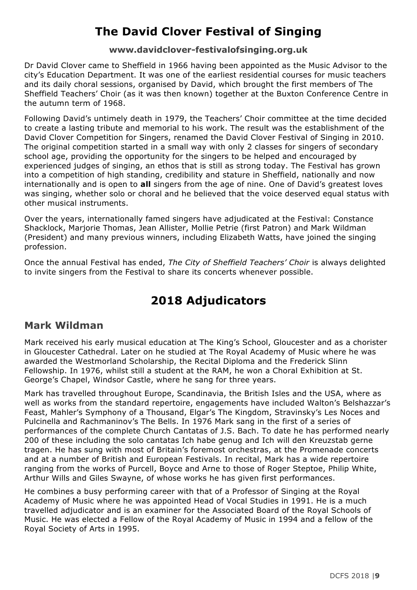# **The David Clover Festival of Singing**

#### **www.davidclover-festivalofsinging.org.uk**

Dr David Clover came to Sheffield in 1966 having been appointed as the Music Advisor to the city's Education Department. It was one of the earliest residential courses for music teachers and its daily choral sessions, organised by David, which brought the first members of The Sheffield Teachers' Choir (as it was then known) together at the Buxton Conference Centre in the autumn term of 1968.

Following David's untimely death in 1979, the Teachers' Choir committee at the time decided to create a lasting tribute and memorial to his work. The result was the establishment of the David Clover Competition for Singers, renamed the David Clover Festival of Singing in 2010. The original competition started in a small way with only 2 classes for singers of secondary school age, providing the opportunity for the singers to be helped and encouraged by experienced judges of singing, an ethos that is still as strong today. The Festival has grown into a competition of high standing, credibility and stature in Sheffield, nationally and now internationally and is open to **all** singers from the age of nine. One of David's greatest loves was singing, whether solo or choral and he believed that the voice deserved equal status with other musical instruments.

Over the years, internationally famed singers have adjudicated at the Festival: Constance Shacklock, Marjorie Thomas, Jean Allister, Mollie Petrie (first Patron) and Mark Wildman (President) and many previous winners, including Elizabeth Watts, have joined the singing profession.

Once the annual Festival has ended, *The City of Sheffield Teachers' Choir* is always delighted to invite singers from the Festival to share its concerts whenever possible.

# **2018 Adjudicators**

#### **Mark Wildman**

Mark received his early musical education at The King's School, Gloucester and as a chorister in Gloucester Cathedral. Later on he studied at The Royal Academy of Music where he was awarded the Westmorland Scholarship, the Recital Diploma and the Frederick Slinn Fellowship. In 1976, whilst still a student at the RAM, he won a Choral Exhibition at St. George's Chapel, Windsor Castle, where he sang for three years.

Mark has travelled throughout Europe, Scandinavia, the British Isles and the USA, where as well as works from the standard repertoire, engagements have included Walton's Belshazzar's Feast, Mahler's Symphony of a Thousand, Elgar's The Kingdom, Stravinsky's Les Noces and Pulcinella and Rachmaninov's The Bells. In 1976 Mark sang in the first of a series of performances of the complete Church Cantatas of J.S. Bach. To date he has performed nearly 200 of these including the solo cantatas Ich habe genug and Ich will den Kreuzstab gerne tragen. He has sung with most of Britain's foremost orchestras, at the Promenade concerts and at a number of British and European Festivals. In recital, Mark has a wide repertoire ranging from the works of Purcell, Boyce and Arne to those of Roger Steptoe, Philip White, Arthur Wills and Giles Swayne, of whose works he has given first performances.

He combines a busy performing career with that of a Professor of Singing at the Royal Academy of Music where he was appointed Head of Vocal Studies in 1991. He is a much travelled adjudicator and is an examiner for the Associated Board of the Royal Schools of Music. He was elected a Fellow of the Royal Academy of Music in 1994 and a fellow of the Royal Society of Arts in 1995.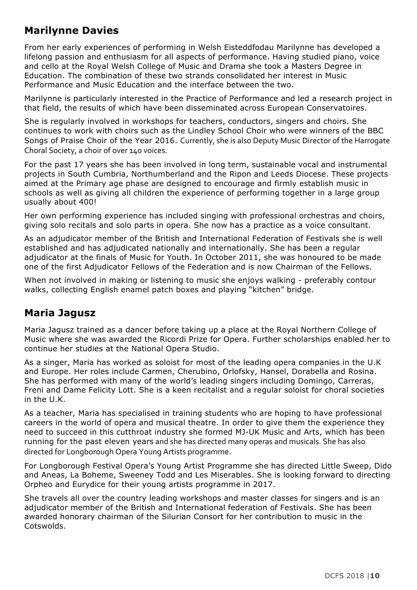### **Marilynne Davies**

From her early experiences of performing in Welsh Eisteddfodau Marilynne has developed a lifelong passion and enthusiasm for all aspects of performance. Having studied piano, voice and cello at the Royal Welsh College of Music and Drama she took a Masters Degree in Education. The combination of these two strands consolidated her interest in Music Performance and Music Education and the interface between the two.

Marilynne is particularly interested in the Practice of Performance and led a research project in that field, the results of which have been disseminated across European Conservatoires.

She is regularly involved in workshops for teachers, conductors, singers and choirs. She continues to work with choirs such as the Lindley School Choir who were winners of the BBC Songs of Praise Choir of the Year 2016. Currently, she is also Deputy Music Director of the Harrogate Choral Society, a choir of over 140 voices.

For the past 17 years she has been involved in long term, sustainable vocal and instrumental projects in South Cumbria, Northumberland and the Ripon and Leeds Diocese. These projects aimed at the Primary age phase are designed to encourage and firmly establish music in schools as well as giving all children the experience of performing together in a large group usually about 400!

Her own performing experience has included singing with professional orchestras and choirs, giving solo recitals and solo parts in opera. She now has a practice as a voice consultant.

As an adjudicator member of the British and International Federation of Festivals she is well established and has adjudicated nationally and internationally. She has been a regular adjudicator at the finals of Music for Youth. In October 2011, she was honoured to be made one of the first Adjudicator Fellows of the Federation and is now Chairman of the Fellows.

When not involved in making or listening to music she enjoys walking - preferably contour walks, collecting English enamel patch boxes and playing "kitchen" bridge.

### **Maria Jagusz**

Maria Jagusz trained as a dancer before taking up a place at the Royal Northern College of Music where she was awarded the Ricordi Prize for Opera. Further scholarships enabled her to continue her studies at the National Opera Studio.

As a singer, Maria has worked as soloist for most of the leading opera companies in the U.K and Europe. Her roles include Carmen, Cherubino, Orlofsky, Hansel, Dorabella and Rosina. She has performed with many of the world's leading singers including Domingo, Carreras, Freni and Dame Felicity Lott. She is a keen recitalist and a regular soloist for choral societies in the U.K.

As a teacher, Maria has specialised in training students who are hoping to have professional careers in the world of opera and musical theatre. In order to give them the experience they need to succeed in this cutthroat industry she formed MJ-UK Music and Arts, which has been running for the past eleven years and she has directed many operas and musicals. She has also directed for Longborough Opera Young Artists programme.

For Longborough Festival Opera's Young Artist Programme she has directed Little Sweep, Dido and Aneas, La Boheme, Sweeney Todd and Les Miserables. She is looking forward to directing Orpheo and Eurydice for their young artists programme in 2017.

She travels all over the country leading workshops and master classes for singers and is an adjudicator member of the British and International federation of Festivals. She has been awarded honorary chairman of the Silurian Consort for her contribution to music in the Cotswolds.